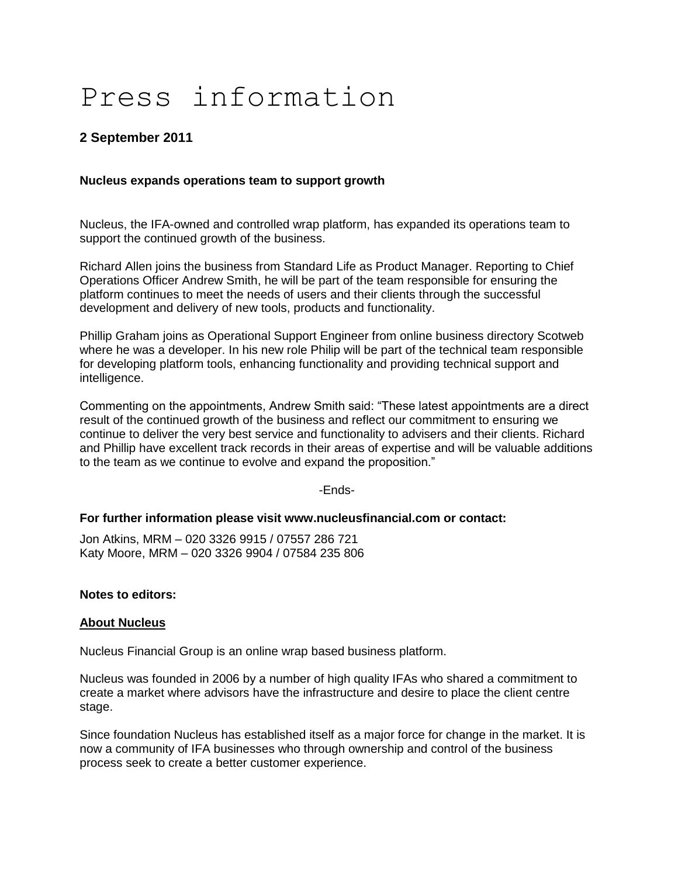# Press information

## **2 September 2011**

### **Nucleus expands operations team to support growth**

Nucleus, the IFA-owned and controlled wrap platform, has expanded its operations team to support the continued growth of the business.

Richard Allen joins the business from Standard Life as Product Manager. Reporting to Chief Operations Officer Andrew Smith, he will be part of the team responsible for ensuring the platform continues to meet the needs of users and their clients through the successful development and delivery of new tools, products and functionality.

Phillip Graham joins as Operational Support Engineer from online business directory Scotweb where he was a developer. In his new role Philip will be part of the technical team responsible for developing platform tools, enhancing functionality and providing technical support and intelligence.

Commenting on the appointments, Andrew Smith said: "These latest appointments are a direct result of the continued growth of the business and reflect our commitment to ensuring we continue to deliver the very best service and functionality to advisers and their clients. Richard and Phillip have excellent track records in their areas of expertise and will be valuable additions to the team as we continue to evolve and expand the proposition."

-Ends-

#### **For further information please visit www.nucleusfinancial.com or contact:**

Jon Atkins, MRM – 020 3326 9915 / 07557 286 721 Katy Moore, MRM – 020 3326 9904 / 07584 235 806

#### **Notes to editors:**

#### **About Nucleus**

Nucleus Financial Group is an online wrap based business platform.

Nucleus was founded in 2006 by a number of high quality IFAs who shared a commitment to create a market where advisors have the infrastructure and desire to place the client centre stage.

Since foundation Nucleus has established itself as a major force for change in the market. It is now a community of IFA businesses who through ownership and control of the business process seek to create a better customer experience.